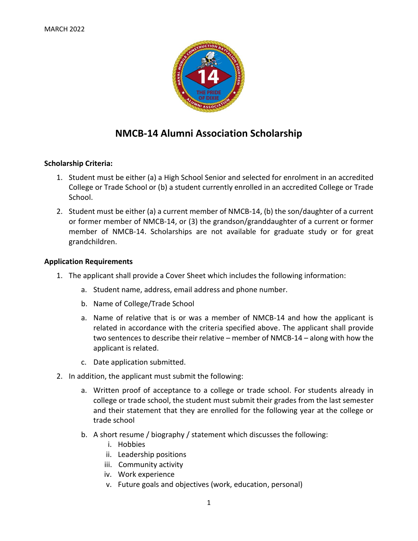

# **NMCB-14 Alumni Association Scholarship**

## **Scholarship Criteria:**

- 1. Student must be either (a) a High School Senior and selected for enrolment in an accredited College or Trade School or (b) a student currently enrolled in an accredited College or Trade School.
- 2. Student must be either (a) a current member of NMCB-14, (b) the son/daughter of a current or former member of NMCB-14, or (3) the grandson/granddaughter of a current or former member of NMCB-14. Scholarships are not available for graduate study or for great grandchildren.

### **Application Requirements**

- 1. The applicant shall provide a Cover Sheet which includes the following information:
	- a. Student name, address, email address and phone number.
	- b. Name of College/Trade School
	- a. Name of relative that is or was a member of NMCB-14 and how the applicant is related in accordance with the criteria specified above. The applicant shall provide two sentences to describe their relative – member of NMCB-14 – along with how the applicant is related.
	- c. Date application submitted.
- 2. In addition, the applicant must submit the following:
	- a. Written proof of acceptance to a college or trade school. For students already in college or trade school, the student must submit their grades from the last semester and their statement that they are enrolled for the following year at the college or trade school
	- b. A short resume / biography / statement which discusses the following:
		- i. Hobbies
		- ii. Leadership positions
		- iii. Community activity
		- iv. Work experience
		- v. Future goals and objectives (work, education, personal)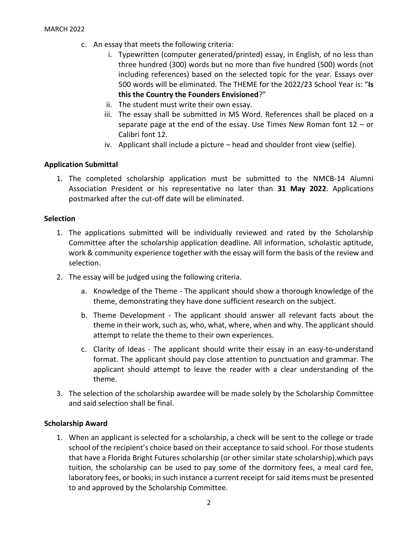- c. An essay that meets the following criteria:
	- i. Typewritten (computer generated/printed) essay, in English, of no less than three hundred (300) words but no more than five hundred (500) words (not including references) based on the selected topic for the year. Essays over 500 words will be eliminated. The THEME for the 2022/23 School Year is: "**Is this the Country the Founders Envisioned**?"
	- ii. The student must write their own essay.
	- iii. The essay shall be submitted in MS Word. References shall be placed on a separate page at the end of the essay. Use Times New Roman font 12 – or Calibri font 12.
	- iv. Applicant shall include a picture head and shoulder front view (selfie).

### **Application Submittal**

1. The completed scholarship application must be submitted to the NMCB-14 Alumni Association President or his representative no later than **31 May 2022**. Applications postmarked after the cut-off date will be eliminated.

#### **Selection**

- 1. The applications submitted will be individually reviewed and rated by the Scholarship Committee after the scholarship application deadline. All information, scholastic aptitude, work & community experience together with the essay will form the basis of the review and selection.
- 2. The essay will be judged using the following criteria.
	- a. Knowledge of the Theme The applicant should show a thorough knowledge of the theme, demonstrating they have done sufficient research on the subject.
	- b. Theme Development The applicant should answer all relevant facts about the theme in their work, such as, who, what, where, when and why. The applicant should attempt to relate the theme to their own experiences.
	- c. Clarity of Ideas The applicant should write their essay in an easy-to-understand format. The applicant should pay close attention to punctuation and grammar. The applicant should attempt to leave the reader with a clear understanding of the theme.
- 3. The selection of the scholarship awardee will be made solely by the Scholarship Committee and said selection shall be final.

### **Scholarship Award**

1. When an applicant is selected for a scholarship, a check will be sent to the college or trade school of the recipient's choice based on their acceptance to said school. For those students that have a Florida Bright Futures scholarship (or other similar state scholarship),which pays tuition, the scholarship can be used to pay some of the dormitory fees, a meal card fee, laboratory fees, or books; in such instance a current receipt for said items must be presented to and approved by the Scholarship Committee.